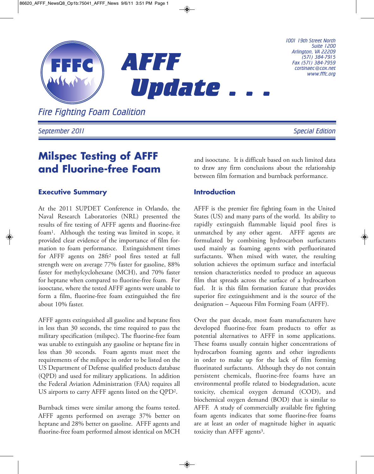

*1001 19th Street North Suite 1200 Arlington, VA 22209 (571) 384-7915 Fax (571) 384-7959 cortinaec@cox.net www.fffc.org*

*September 2011 Special Edition*

# **Milspec Testing of AFFF and Fluorine-free Foam**

### **Executive Summary**

At the 2011 SUPDET Conference in Orlando, the Naval Research Laboratories (NRL) presented the results of fire testing of AFFF agents and fluorine-free foam1. Although the testing was limited in scope, it provided clear evidence of the importance of film formation to foam performance. Extinguishment times for AFFF agents on 28ft2 pool fires tested at full strength were on average 77% faster for gasoline, 88% faster for methylcyclohexane (MCH), and 70% faster for heptane when compared to fluorine-free foam. For isooctane, where the tested AFFF agents were unable to form a film, fluorine-free foam extinguished the fire about 10% faster.

AFFF agents extinguished all gasoline and heptane fires in less than 30 seconds, the time required to pass the military specification (milspec). The fluorine-free foam was unable to extinguish any gasoline or heptane fire in less than 30 seconds. Foam agents must meet the requirements of the milspec in order to be listed on the US Department of Defense qualified products database (QPD) and used for military applications. In addition the Federal Aviation Administration (FAA) requires all US airports to carry AFFF agents listed on the QPD2.

Burnback times were similar among the foams tested. AFFF agents performed on average 37% better on heptane and 28% better on gasoline. AFFF agents and fluorine-free foam performed almost identical on MCH and isooctane. It is difficult based on such limited data to draw any firm conclusions about the relationship between film formation and burnback performance.

## **Introduction**

AFFF is the premier fire fighting foam in the United States (US) and many parts of the world. Its ability to rapidly extinguish flammable liquid pool fires is unmatched by any other agent. AFFF agents are formulated by combining hydrocarbon surfactants used mainly as foaming agents with perfluorinated surfactants. When mixed with water, the resulting solution achieves the optimum surface and interfacial tension characteristics needed to produce an aqueous film that spreads across the surface of a hydrocarbon fuel. It is this film formation feature that provides superior fire extinguishment and is the source of the designation – Aqueous Film Forming Foam (AFFF).

Over the past decade, most foam manufacturers have developed fluorine-free foam products to offer as potential alternatives to AFFF in some applications. These foams usually contain higher concentrations of hydrocarbon foaming agents and other ingredients in order to make up for the lack of film forming fluorinated surfactants. Although they do not contain persistent chemicals, fluorine-free foams have an environmental profile related to biodegradation, acute toxicity, chemical oxygen demand (COD), and biochemical oxygen demand (BOD) that is similar to AFFF. A study of commercially available fire fighting foam agents indicates that some fluorine-free foams are at least an order of magnitude higher in aquatic toxicity than AFFF agents<sup>3</sup>.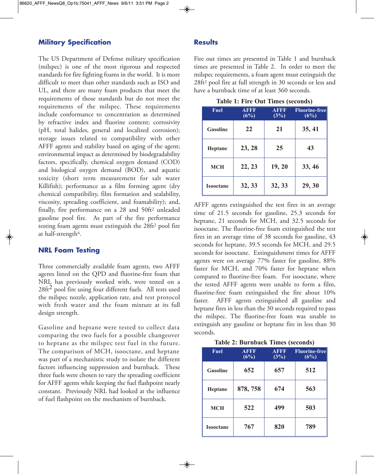#### **Military Specification**

The US Department of Defense military specification (milspec) is one of the most rigorous and respected standards for fire fighting foams in the world. It is more difficult to meet than other standards such as ISO and UL, and there are many foam products that meet the requirements of those standards but do not meet the requirements of the milspec. These requirements include conformance to concentration as determined by refractive index and fluorine content; corrosivity (pH, total halides, general and localized corrosion); storage issues related to compatibility with other AFFF agents and stability based on aging of the agent; environmental impact as determined by biodegradability factors, specifically, chemical oxygen demand (COD) and biological oxygen demand (BOD), and aquatic toxicity (short term measurement for salt water Killifish); performance as a film forming agent (dry chemical compatibility, film formation and sealability, viscosity, spreading coefficient, and foamability); and, finally, fire performance on a 28 and 50ft2 unleaded gasoline pool fire. As part of the fire performance testing foam agents must extinguish the 28ft2 pool fire at half-strength<sup>4</sup>.

### **NRL Foam Testing**

Three commercially available foam agents, two AFFF agents listed on the QPD and fluorine-free foam that NRL has previously worked with, were tested on a  $28\text{ft}^2$  pool fire using four different fuels. All tests used the milspec nozzle, application rate, and test protocol with fresh water and the foam mixture at its full design strength.

Gasoline and heptane were tested to collect data comparing the two fuels for a possible changeover to heptane as the milspec test fuel in the future. The comparison of MCH, isooctane, and heptane was part of a mechanistic study to isolate the different factors influencing suppression and burnback. These three fuels were chosen to vary the spreading coefficient for AFFF agents while keeping the fuel flashpoint nearly constant. Previously NRL had looked at the influence of fuel flashpoint on the mechanism of burnback.

#### **Results**

Fire out times are presented in Table 1 and burnback times are presented in Table 2. In order to meet the milspec requirements, a foam agent must extinguish the 28ft2 pool fire at full strength in 30 seconds or less and have a burnback time of at least 360 seconds.

| <b>Fuel</b>      | AFFF<br>(6%) | <b>AFFF</b><br>(3%) | <b>Fluorine-free</b><br>(6%) |
|------------------|--------------|---------------------|------------------------------|
| <b>Gasoline</b>  | 22           | 21                  | 35, 41                       |
| Heptane          | 23, 28       | 25                  | 43                           |
| <b>MCH</b>       | 22, 23       | 19, 20              | 33, 46                       |
| <b>Isooctane</b> | 32, 33       | 32, 33              | 29, 30                       |

**Table 1: Fire Out Times (seconds)**

AFFF agents extinguished the test fires in an average time of 21.5 seconds for gasoline, 25.3 seconds for heptane, 21 seconds for MCH, and 32.5 seconds for isooctane. The fluorine-free foam extinguished the test fires in an average time of 38 seconds for gasoline, 43 seconds for heptane, 39.5 seconds for MCH, and 29.5 seconds for isooctane. Extinguishment times for AFFF agents were on average 77% faster for gasoline, 88% faster for MCH, and 70% faster for heptane when compared to fluorine-free foam. For isooctane, where the tested AFFF agents were unable to form a film, fluorine-free foam extinguished the fire about 10% faster. AFFF agents extinguished all gasoline and heptane fires in less than the 30 seconds required to pass the milspec. The fluorine-free foam was unable to extinguish any gasoline or heptane fire in less than 30 seconds.

|  | <b>Table 2: Burnback Times (seconds)</b> |  |  |
|--|------------------------------------------|--|--|
|--|------------------------------------------|--|--|

| <b>Fuel</b>      | <b>AFFF</b><br>(6%) | <b>AFFF</b><br>(3%) | <b>Fluorine-free</b><br>(6%) |
|------------------|---------------------|---------------------|------------------------------|
| <b>Gasoline</b>  | 652                 | 657                 | 512                          |
| Heptane          | 878, 758            | 674                 | 563                          |
| <b>MCH</b>       | 522                 | 499                 | 503                          |
| <b>Isooctane</b> | 767                 | 820                 | 789                          |